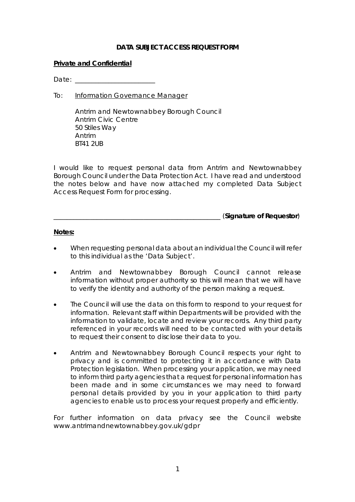## **DATA SUBJECT ACCESS REQUEST FORM**

### **Private and Confidential**

Date:

To: Information Governance Manager

Antrim and Newtownabbey Borough Council Antrim Civic Centre 50 Stiles Way Antrim BT41 2UB

I would like to request personal data from Antrim and Newtownabbey Borough Council under the Data Protection Act. I have read and understood the notes below and have now attached my completed Data Subject Access Request Form for processing.

\_\_\_\_\_\_\_\_\_\_\_\_\_\_\_\_\_\_\_\_\_\_\_\_\_\_\_\_\_\_\_\_\_\_\_\_\_\_\_\_\_\_\_\_\_\_\_\_\_\_ (**Signature of Requestor**)

### **Notes:**

- When requesting personal data about an individual the Council will refer to this individual as the 'Data Subject'.
- Antrim and Newtownabbey Borough Council cannot release information without proper authority so this will mean that we will have to verify the identity and authority of the person making a request.
- The Council will use the data on this form to respond to your request for information. Relevant staff within Departments will be provided with the information to validate, locate and review your records. Any third party referenced in your records will need to be contacted with your details to request their consent to disclose their data to you.
- Antrim and Newtownabbey Borough Council respects your right to privacy and is committed to protecting it in accordance with Data Protection legislation. When processing your application, we may need to inform third party agencies that a request for personal information has been made and in some circumstances we may need to forward personal details provided by you in your application to third party agencies to enable us to process your request properly and efficiently.

For further information on data privacy see the Council website www.antrimandnewtownabbey.gov.uk/gdpr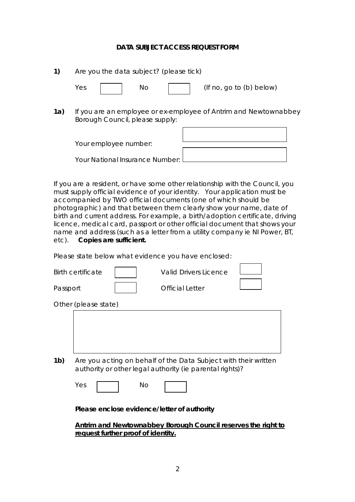### **DATA SUBJECT ACCESS REQUEST FORM**

| 1)  | Are you the data subject? (please tick)                                                             |  |  |
|-----|-----------------------------------------------------------------------------------------------------|--|--|
|     | $($ If no, go to $(b)$ below $)$<br>Yes<br>No.                                                      |  |  |
| 1a) | If you are an employee or ex-employee of Antrim and Newtownabbey<br>Borough Council, please supply: |  |  |
|     | Your employee number:                                                                               |  |  |
|     | Your National Insurance Number:                                                                     |  |  |

If you are a resident, or have some other relationship with the Council, you must supply official evidence of your identity. Your application must be accompanied by TWO official documents (one of which should be photographic) and that between them clearly show your name, date of birth and current address. For example, a birth/adoption certificate, driving licence, medical card, passport or other official document that shows your name and address (such as a letter from a utility company ie NI Power, BT, etc). **Copies are sufficient.**

Please state below what evidence you have enclosed:

|                | <b>Birth certificate</b>                                                                                                    |           | <b>Valid Drivers Licence</b> |  |
|----------------|-----------------------------------------------------------------------------------------------------------------------------|-----------|------------------------------|--|
| Passport       |                                                                                                                             |           | Official Letter              |  |
|                | Other (please state)                                                                                                        |           |                              |  |
|                |                                                                                                                             |           |                              |  |
| 1 <sub>b</sub> | Are you acting on behalf of the Data Subject with their written<br>authority or other legal authority (ie parental rights)? |           |                              |  |
|                | Yes                                                                                                                         | <b>No</b> |                              |  |

**Please enclose evidence/letter of authority**

**Antrim and Newtownabbey Borough Council reserves the right to request further proof of identity.**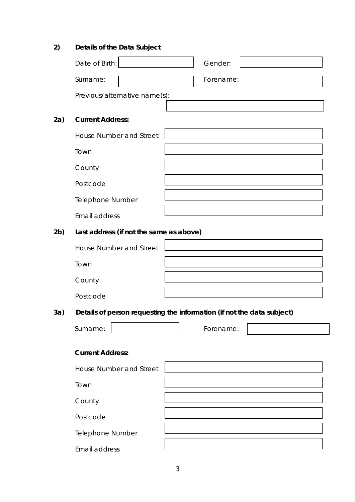# **2) Details of the Data Subject**

|     | Date of Birth:                          | Gender:                                                                |
|-----|-----------------------------------------|------------------------------------------------------------------------|
|     | Surname:                                | Forename:                                                              |
|     |                                         |                                                                        |
|     | Previous/alternative name(s):           |                                                                        |
| 2a) | <b>Current Address:</b>                 |                                                                        |
|     | <b>House Number and Street</b>          |                                                                        |
|     | Town                                    |                                                                        |
|     | County                                  |                                                                        |
|     | Postcode                                |                                                                        |
|     | Telephone Number                        |                                                                        |
|     | Email address                           |                                                                        |
| 2b) | Last address (if not the same as above) |                                                                        |
|     | <b>House Number and Street</b>          |                                                                        |
|     | Town                                    |                                                                        |
|     | County                                  |                                                                        |
|     | Postcode                                |                                                                        |
| 3a) |                                         | Details of person requesting the information (if not the data subject) |
|     | Surname:                                | Forename:                                                              |
|     | <b>Current Address:</b>                 |                                                                        |
|     | <b>House Number and Street</b>          |                                                                        |
|     | Town                                    |                                                                        |
|     |                                         |                                                                        |
|     | County                                  |                                                                        |
|     | Postcode                                |                                                                        |
|     | Telephone Number                        |                                                                        |
|     | Email address                           |                                                                        |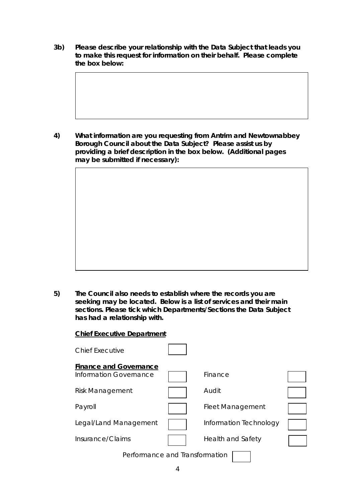**3b) Please describe your relationship with the Data Subject that leads you to make this request for information on their behalf. Please complete the box below:**

**4) What information are you requesting from Antrim and Newtownabbey Borough Council about the Data Subject? Please assist us by providing a brief description in the box below. (Additional pages may be submitted if necessary):**

**5) The Council also needs to establish where the records you are seeking may be located. Below is a list of services and their main sections. Please tick which Departments/Sections the Data Subject has had a relationship with.**

| <b>Chief Executive Department</b>                       |  |                          |  |
|---------------------------------------------------------|--|--------------------------|--|
| Chief Executive                                         |  |                          |  |
| <b>Finance and Governance</b><br>Information Governance |  | Finance                  |  |
| <b>Risk Management</b>                                  |  | Audit                    |  |
| Payroll                                                 |  | <b>Fleet Management</b>  |  |
| Legal/Land Management                                   |  | Information Technology   |  |
| Insurance/Claims                                        |  | <b>Health and Safety</b> |  |
| Performance and Transformation                          |  |                          |  |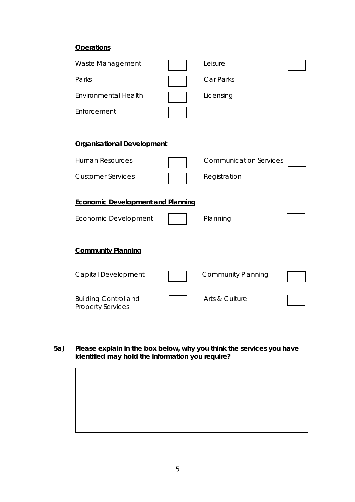# **Operations**

| Waste Management                                        | Leisure                       |  |
|---------------------------------------------------------|-------------------------------|--|
| Parks                                                   | Car Parks                     |  |
| <b>Environmental Health</b>                             | Licensing                     |  |
| Enforcement                                             |                               |  |
|                                                         |                               |  |
| <b>Organisational Development</b>                       |                               |  |
| <b>Human Resources</b>                                  | <b>Communication Services</b> |  |
| <b>Customer Services</b>                                | Registration                  |  |
|                                                         |                               |  |
| <b>Economic Development and Planning</b>                |                               |  |
| Economic Development                                    | Planning                      |  |
|                                                         |                               |  |
| <b>Community Planning</b>                               |                               |  |
| Capital Development                                     | <b>Community Planning</b>     |  |
|                                                         |                               |  |
| <b>Building Control and</b><br><b>Property Services</b> | Arts & Culture                |  |

**5a) Please explain in the box below, why you think the services you have identified may hold the information you require?**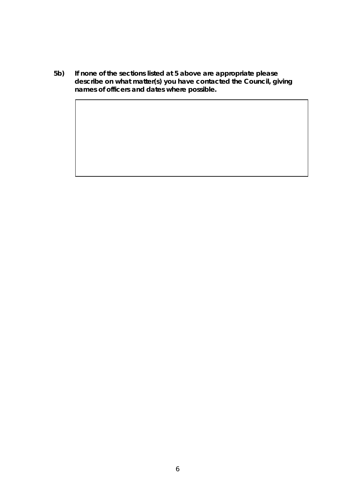**5b) If none of the sections listed at 5 above are appropriate please describe on what matter(s) you have contacted the Council, giving names of officers and dates where possible.**